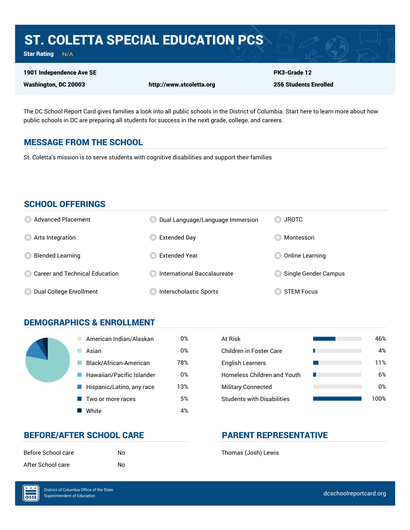## ST. COLETTA SPECIAL EDUCATION PCS

Star Rating  $N/A$ 

#### 1901 Independence Ave SE

Washington, DC 20003 http://www.stcoletta.org

PK3-Grade 12 256 Students Enrolled

The DC School Report Card gives families a look into all public schools in the District of Columbia. Start here to learn more about how public schools in DC are preparing all students for success in the next grade, college, and careers.

#### MESSAGE FROM THE SCHOOL

St. Coletta's mission is to serve students with cognitive disabilities and support their families

#### SCHOOL OFFERINGS

| <b>8</b> Advanced Placement             | Dual Language/Language Immersion | <b>JROTC</b>         |
|-----------------------------------------|----------------------------------|----------------------|
| <b>8</b> Arts Integration               | <b>Extended Day</b>              | Montessori           |
| <b>Blended Learning</b>                 | <b>Extended Year</b>             | Online Learning      |
| <b>8 Career and Technical Education</b> | International Baccalaureate      | Single Gender Campus |
| Dual College Enrollment                 | <b>Interscholastic Sports</b>    | <b>STEM Focus</b>    |

#### DEMOGRAPHICS & ENROLLMENT

| American Indian/Alaskan   | 0%  | At Risk                            |
|---------------------------|-----|------------------------------------|
| Asian                     | 0%  | <b>Children in Foster Care</b>     |
| Black/African-American    | 78% | <b>English Learners</b>            |
| Hawaiian/Pacific Islander | 0%  | <b>Homeless Children and Youth</b> |
| Hispanic/Latino, any race | 13% | <b>Military Connected</b>          |
| Two or more races         | 5%  | <b>Students with Disabilities</b>  |
| White                     | 4%  |                                    |

| At Risk                           | 46%   |
|-----------------------------------|-------|
| Children in Foster Care           | 4%    |
| <b>English Learners</b>           | 11%   |
| Homeless Children and Youth       | 6%    |
| <b>Military Connected</b>         | 0%    |
| <b>Students with Disabilities</b> | 1 በበ% |

#### BEFORE/AFTER SCHOOL CARE PARENT REPRESENTATIVE

| Before School care | No |
|--------------------|----|
| After School care  | No |

Before School care School Chare School Character School (Josh) Lewis

OSSE